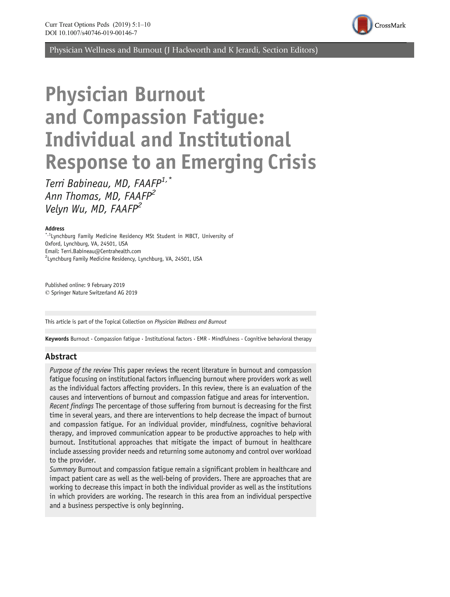

Physician Wellness and Burnout (J Hackworth and K Jerardi, Section Editors)

# Physician Burnout and Compassion Fatigue: Individual and Institutional Response to an Emerging Crisis

Terri Babineau, MD, FAAFP<sup>1,\*</sup> Ann Thomas, MD, FAAFP<sup>2</sup> Velyn Wu, MD, FAAFP2

#### Address

<sup>\*,1</sup>Lynchburg Family Medicine Residency MSt Student in MBCT, University of Oxford, Lynchburg, VA, 24501, USA Email: Terri.Babineau@Centrahealth.com <sup>2</sup> Lynchburg Family Medicine Residency, Lynchburg, VA, 24501, USA

Published online: 9 February 2019  $\oslash$  Springer Nature Switzerland AG 2019

This article is part of the Topical Collection on Physician Wellness and Burnout

Keywords Burnout  $\cdot$  Compassion fatigue  $\cdot$  Institutional factors  $\cdot$  EMR  $\cdot$  Mindfulness  $\cdot$  Cognitive behavioral therapy

### Abstract

Purpose of the review This paper reviews the recent literature in burnout and compassion fatigue focusing on institutional factors influencing burnout where providers work as well as the individual factors affecting providers. In this review, there is an evaluation of the causes and interventions of burnout and compassion fatigue and areas for intervention. Recent findings The percentage of those suffering from burnout is decreasing for the first time in several years, and there are interventions to help decrease the impact of burnout and compassion fatigue. For an individual provider, mindfulness, cognitive behavioral therapy, and improved communication appear to be productive approaches to help with burnout. Institutional approaches that mitigate the impact of burnout in healthcare include assessing provider needs and returning some autonomy and control over workload to the provider.

Summary Burnout and compassion fatigue remain a significant problem in healthcare and impact patient care as well as the well-being of providers. There are approaches that are working to decrease this impact in both the individual provider as well as the institutions in which providers are working. The research in this area from an individual perspective and a business perspective is only beginning.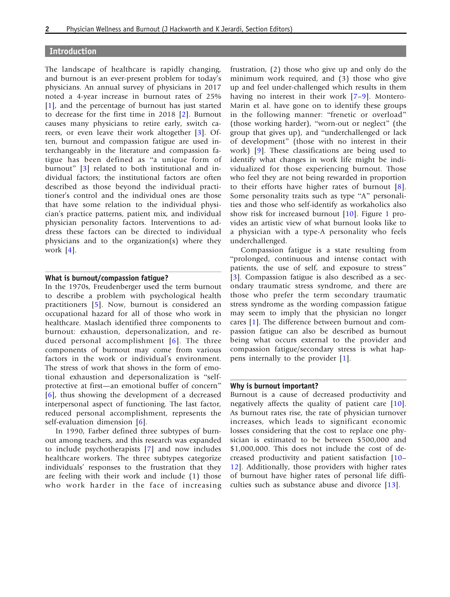#### Introduction

The landscape of healthcare is rapidly changing, and burnout is an ever-present problem for today's physicians. An annual survey of physicians in 2017 noted a 4-year increase in burnout rates of 25% [\[1\]](#page-7-0), and the percentage of burnout has just started to decrease for the first time in 2018 [[2](#page-7-0)]. Burnout causes many physicians to retire early, switch careers, or even leave their work altogether [\[3\]](#page-7-0). Often, burnout and compassion fatigue are used interchangeably in the literature and compassion fatigue has been defined as "a unique form of burnout" [[3](#page-7-0)] related to both institutional and individual factors; the institutional factors are often described as those beyond the individual practitioner's control and the individual ones are those that have some relation to the individual physician's practice patterns, patient mix, and individual physician personality factors. Interventions to address these factors can be directed to individual physicians and to the organization(s) where they work [[4](#page-7-0)].

#### What is burnout/compassion fatigue?

In the 1970s, Freudenberger used the term burnout to describe a problem with psychological health practitioners [[5\]](#page-7-0). Now, burnout is considered an occupational hazard for all of those who work in healthcare. Maslach identified three components to burnout: exhaustion, depersonalization, and reduced personal accomplishment [[6](#page-7-0)]. The three components of burnout may come from various factors in the work or individual's environment. The stress of work that shows in the form of emotional exhaustion and depersonalization is "selfprotective at first—an emotional buffer of concern" [\[6\]](#page-7-0), thus showing the development of a decreased interpersonal aspect of functioning. The last factor, reduced personal accomplishment, represents the self-evaluation dimension [[6](#page-7-0)].

In 1990, Farber defined three subtypes of burnout among teachers, and this research was expanded to include psychotherapists [[7](#page-7-0)] and now includes healthcare workers. The three subtypes categorize individuals' responses to the frustration that they are feeling with their work and include (1) those who work harder in the face of increasing

frustration, (2) those who give up and only do the minimum work required, and (3) those who give up and feel under-challenged which results in them having no interest in their work [[7](#page-7-0)–[9\]](#page-7-0). Montero-Marin et al. have gone on to identify these groups in the following manner: "frenetic or overload" (those working harder), "worn-out or neglect" (the group that gives up), and "underchallenged or lack of development^ (those with no interest in their work) [\[9\]](#page-7-0). These classifications are being used to identify what changes in work life might be individualized for those experiencing burnout. Those who feel they are not being rewarded in proportion to their efforts have higher rates of burnout [\[8\]](#page-7-0). Some personality traits such as type "A" personalities and those who self-identify as workaholics also show risk for increased burnout [\[10](#page-7-0)]. Figure [1](#page-2-0) provides an artistic view of what burnout looks like to a physician with a type-A personality who feels underchallenged.

Compassion fatigue is a state resulting from "prolonged, continuous and intense contact with patients, the use of self, and exposure to stress^ [\[3\]](#page-7-0). Compassion fatigue is also described as a secondary traumatic stress syndrome, and there are those who prefer the term secondary traumatic stress syndrome as the wording compassion fatigue may seem to imply that the physician no longer cares [\[1](#page-7-0)]. The difference between burnout and compassion fatigue can also be described as burnout being what occurs external to the provider and compassion fatigue/secondary stress is what happens internally to the provider [\[1\]](#page-7-0).

#### Why is burnout important?

Burnout is a cause of decreased productivity and negatively affects the quality of patient care [[10\]](#page-7-0). As burnout rates rise, the rate of physician turnover increases, which leads to significant economic losses considering that the cost to replace one physician is estimated to be between \$500,000 and \$1,000,000. This does not include the cost of decreased productivity and patient satisfaction [\[10](#page-7-0)– [12](#page-8-0)]. Additionally, those providers with higher rates of burnout have higher rates of personal life difficulties such as substance abuse and divorce [[13\]](#page-8-0).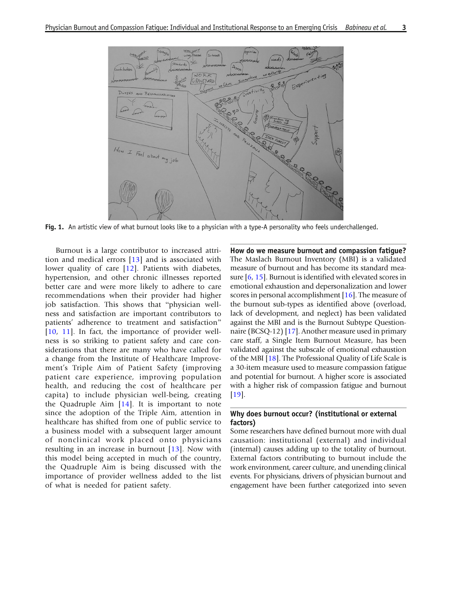<span id="page-2-0"></span>

Fig. 1. An artistic view of what burnout looks like to a physician with a type-A personality who feels underchallenged.

Burnout is a large contributor to increased attrition and medical errors [[13](#page-8-0)] and is associated with lower quality of care [\[12\]](#page-8-0). Patients with diabetes, hypertension, and other chronic illnesses reported better care and were more likely to adhere to care recommendations when their provider had higher job satisfaction. This shows that "physician wellness and satisfaction are important contributors to patients' adherence to treatment and satisfaction" [\[10,](#page-7-0) [11](#page-7-0)]. In fact, the importance of provider wellness is so striking to patient safety and care considerations that there are many who have called for a change from the Institute of Healthcare Improvement's Triple Aim of Patient Safety (improving patient care experience, improving population health, and reducing the cost of healthcare per capita) to include physician well-being, creating the Quadruple Aim [\[14](#page-8-0)]. It is important to note since the adoption of the Triple Aim, attention in healthcare has shifted from one of public service to a business model with a subsequent larger amount of nonclinical work placed onto physicians resulting in an increase in burnout [\[13\]](#page-8-0). Now with this model being accepted in much of the country, the Quadruple Aim is being discussed with the importance of provider wellness added to the list of what is needed for patient safety.

How do we measure burnout and compassion fatigue? The Maslach Burnout Inventory (MBI) is a validated measure of burnout and has become its standard measure [[6](#page-7-0), [15](#page-8-0)]. Burnout is identified with elevated scores in emotional exhaustion and depersonalization and lower scores in personal accomplishment [[16\]](#page-8-0). The measure of the burnout sub-types as identified above (overload, lack of development, and neglect) has been validated against the MBI and is the Burnout Subtype Questionnaire (BCSQ-12) [\[17](#page-8-0)]. Another measure used in primary care staff, a Single Item Burnout Measure, has been validated against the subscale of emotional exhaustion of the MBI [[18\]](#page-8-0). The Professional Quality of Life Scale is a 30-item measure used to measure compassion fatigue and potential for burnout. A higher score is associated with a higher risk of compassion fatigue and burnout [\[19](#page-8-0)].

#### Why does burnout occur? (institutional or external factors)

Some researchers have defined burnout more with dual causation: institutional (external) and individual (internal) causes adding up to the totality of burnout. External factors contributing to burnout include the work environment, career culture, and unending clinical events. For physicians, drivers of physician burnout and engagement have been further categorized into seven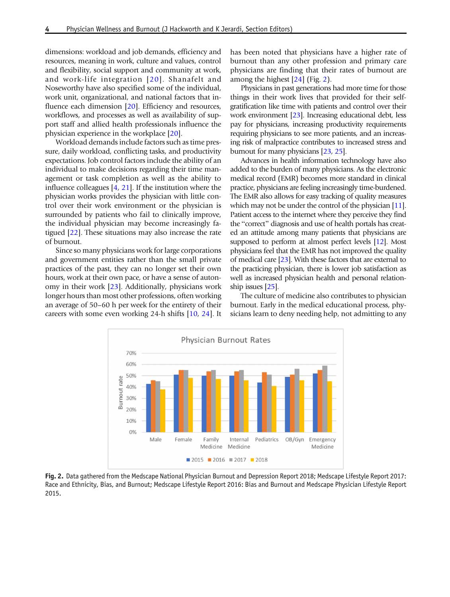dimensions: workload and job demands, efficiency and resources, meaning in work, culture and values, control and flexibility, social support and community at work, and work-life integration [[20\]](#page-8-0). Shanafelt and Noseworthy have also specified some of the individual, work unit, organizational, and national factors that in-fluence each dimension [\[20](#page-8-0)]. Efficiency and resources, workflows, and processes as well as availability of support staff and allied health professionals influence the physician experience in the workplace [\[20\]](#page-8-0).

Workload demands include factors such as time pressure, daily workload, conflicting tasks, and productivity expectations. Job control factors include the ability of an individual to make decisions regarding their time management or task completion as well as the ability to influence colleagues [\[4,](#page-7-0) [21\]](#page-8-0). If the institution where the physician works provides the physician with little control over their work environment or the physician is surrounded by patients who fail to clinically improve, the individual physician may become increasingly fatigued [[22](#page-8-0)]. These situations may also increase the rate of burnout.

Since so many physicians work for large corporations and government entities rather than the small private practices of the past, they can no longer set their own hours, work at their own pace, or have a sense of autonomy in their work [[23\]](#page-8-0). Additionally, physicians work longer hours than most other professions, often working an average of 50–60 h per week for the entirety of their careers with some even working 24-h shifts [\[10](#page-7-0), [24\]](#page-8-0). It has been noted that physicians have a higher rate of burnout than any other profession and primary care physicians are finding that their rates of burnout are among the highest [\[24\]](#page-8-0) (Fig. 2).

Physicians in past generations had more time for those things in their work lives that provided for their selfgratification like time with patients and control over their work environment [\[23\]](#page-8-0). Increasing educational debt, less pay for physicians, increasing productivity requirements requiring physicians to see more patients, and an increasing risk of malpractice contributes to increased stress and burnout for many physicians [\[23](#page-8-0), [25\]](#page-8-0).

Advances in health information technology have also added to the burden of many physicians. As the electronic medical record (EMR) becomes more standard in clinical practice, physicians are feeling increasingly time-burdened. The EMR also allows for easy tracking of quality measures which may not be under the control of the physician [\[11](#page-7-0)]. Patient access to the internet where they perceive they find the "correct" diagnosis and use of health portals has created an attitude among many patients that physicians are supposed to perform at almost perfect levels [\[12](#page-8-0)]. Most physicians feel that the EMR has not improved the quality of medical care [\[23\]](#page-8-0). With these factors that are external to the practicing physician, there is lower job satisfaction as well as increased physician health and personal relationship issues [\[25\]](#page-8-0).

The culture of medicine also contributes to physician burnout. Early in the medical educational process, physicians learn to deny needing help, not admitting to any



Fig. 2. Data gathered from the Medscape National Physician Burnout and Depression Report 2018; Medscape Lifestyle Report 2017: Race and Ethnicity, Bias, and Burnout; Medscape Lifestyle Report 2016: Bias and Burnout and Medscape Physician Lifestyle Report 2015.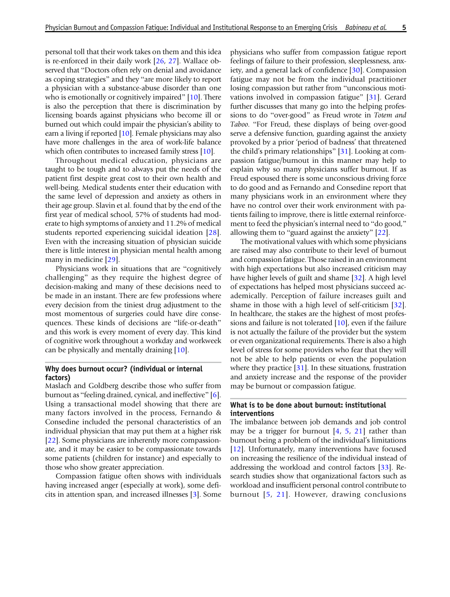personal toll that their work takes on them and this idea is re-enforced in their daily work [\[26](#page-8-0), [27\]](#page-8-0). Wallace observed that "Doctors often rely on denial and avoidance as coping strategies" and they "are more likely to report a physician with a substance-abuse disorder than one who is emotionally or cognitively impaired" [\[10\]](#page-7-0). There is also the perception that there is discrimination by licensing boards against physicians who become ill or burned out which could impair the physician's ability to earn a living if reported [[10](#page-7-0)]. Female physicians may also have more challenges in the area of work-life balance which often contributes to increased family stress [\[10\]](#page-7-0).

Throughout medical education, physicians are taught to be tough and to always put the needs of the patient first despite great cost to their own health and well-being. Medical students enter their education with the same level of depression and anxiety as others in their age group. Slavin et al. found that by the end of the first year of medical school, 57% of students had moderate to high symptoms of anxiety and 11.2% of medical students reported experiencing suicidal ideation [\[28\]](#page-8-0). Even with the increasing situation of physician suicide there is little interest in physician mental health among many in medicine [\[29](#page-8-0)].

Physicians work in situations that are "cognitively challenging^ as they require the highest degree of decision-making and many of these decisions need to be made in an instant. There are few professions where every decision from the tiniest drug adjustment to the most momentous of surgeries could have dire consequences. These kinds of decisions are "life-or-death" and this work is every moment of every day. This kind of cognitive work throughout a workday and workweek can be physically and mentally draining [[10\]](#page-7-0).

#### Why does burnout occur? (individual or internal factors)

Maslach and Goldberg describe those who suffer from burnout as "feeling drained, cynical, and ineffective" [[6](#page-7-0)]. Using a transactional model showing that there are many factors involved in the process, Fernando & Consedine included the personal characteristics of an individual physician that may put them at a higher risk [\[22\]](#page-8-0). Some physicians are inherently more compassionate, and it may be easier to be compassionate towards some patients (children for instance) and especially to those who show greater appreciation.

Compassion fatigue often shows with individuals having increased anger (especially at work), some deficits in attention span, and increased illnesses [\[3](#page-7-0)]. Some physicians who suffer from compassion fatigue report feelings of failure to their profession, sleeplessness, anxiety, and a general lack of confidence [[30\]](#page-8-0). Compassion fatigue may not be from the individual practitioner losing compassion but rather from "unconscious motivations involved in compassion fatigue^ [\[31](#page-8-0)]. Gerard further discusses that many go into the helping professions to do "over-good" as Freud wrote in Totem and Taboo. "For Freud, these displays of being over-good serve a defensive function, guarding against the anxiety provoked by a prior 'period of badness' that threatened the child's primary relationships" [\[31](#page-8-0)]. Looking at compassion fatigue/burnout in this manner may help to explain why so many physicians suffer burnout. If as Freud espoused there is some unconscious driving force to do good and as Fernando and Consedine report that many physicians work in an environment where they have no control over their work environment with patients failing to improve, there is little external reinforcement to feed the physician's internal need to "do good," allowing them to "guard against the anxiety"  $[22]$ .

The motivational values with which some physicians are raised may also contribute to their level of burnout and compassion fatigue. Those raised in an environment with high expectations but also increased criticism may have higher levels of guilt and shame [\[32](#page-8-0)]. A high level of expectations has helped most physicians succeed academically. Perception of failure increases guilt and shame in those with a high level of self-criticism [\[32](#page-8-0)]. In healthcare, the stakes are the highest of most professions and failure is not tolerated [\[10\]](#page-7-0), even if the failure is not actually the failure of the provider but the system or even organizational requirements. There is also a high level of stress for some providers who fear that they will not be able to help patients or even the population where they practice [\[31](#page-8-0)]. In these situations, frustration and anxiety increase and the response of the provider may be burnout or compassion fatigue.

### What is to be done about burnout: institutional interventions

The imbalance between job demands and job control may be a trigger for burnout  $[4, 5, 21]$  $[4, 5, 21]$  $[4, 5, 21]$  $[4, 5, 21]$  $[4, 5, 21]$  $[4, 5, 21]$  rather than burnout being a problem of the individual's limitations [\[12](#page-8-0)]. Unfortunately, many interventions have focused on increasing the resilience of the individual instead of addressing the workload and control factors [[33\]](#page-8-0). Research studies show that organizational factors such as workload and insufficient personal control contribute to burnout [[5](#page-7-0), [21](#page-8-0)]. However, drawing conclusions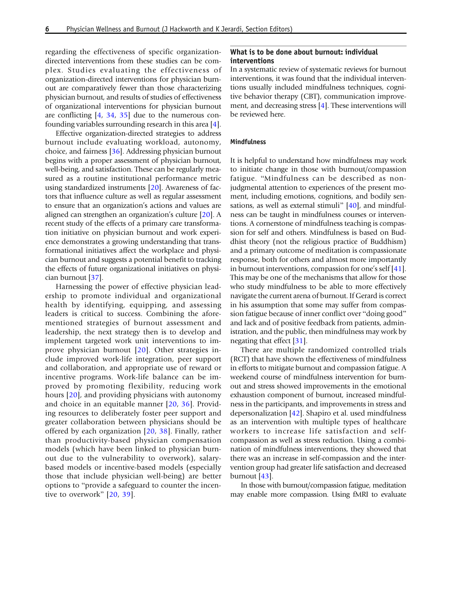regarding the effectiveness of specific organizationdirected interventions from these studies can be complex. Studies evaluating the effectiveness of organization-directed interventions for physician burnout are comparatively fewer than those characterizing physician burnout, and results of studies of effectiveness of organizational interventions for physician burnout are conflicting [[4](#page-7-0), [34,](#page-8-0) [35](#page-8-0)] due to the numerous confounding variables surrounding research in this area [[4](#page-7-0)].

Effective organization-directed strategies to address burnout include evaluating workload, autonomy, choice, and fairness [[36\]](#page-8-0). Addressing physician burnout begins with a proper assessment of physician burnout, well-being, and satisfaction. These can be regularly measured as a routine institutional performance metric using standardized instruments [\[20](#page-8-0)]. Awareness of factors that influence culture as well as regular assessment to ensure that an organization's actions and values are aligned can strengthen an organization's culture [\[20](#page-8-0)]. A recent study of the effects of a primary care transformation initiative on physician burnout and work experience demonstrates a growing understanding that transformational initiatives affect the workplace and physician burnout and suggests a potential benefit to tracking the effects of future organizational initiatives on physician burnout [\[37](#page-8-0)].

Harnessing the power of effective physician leadership to promote individual and organizational health by identifying, equipping, and assessing leaders is critical to success. Combining the aforementioned strategies of burnout assessment and leadership, the next strategy then is to develop and implement targeted work unit interventions to improve physician burnout [[20](#page-8-0)]. Other strategies include improved work-life integration, peer support and collaboration, and appropriate use of reward or incentive programs. Work-life balance can be improved by promoting flexibility, reducing work hours [\[20\]](#page-8-0), and providing physicians with autonomy and choice in an equitable manner [[20](#page-8-0), [36](#page-8-0)]. Providing resources to deliberately foster peer support and greater collaboration between physicians should be offered by each organization [[20,](#page-8-0) [38](#page-8-0)]. Finally, rather than productivity-based physician compensation models (which have been linked to physician burnout due to the vulnerability to overwork), salarybased models or incentive-based models (especially those that include physician well-being) are better options to "provide a safeguard to counter the incen-tive to overwork" [[20,](#page-8-0) [39](#page-8-0)].

#### What is to be done about burnout: individual interventions

In a systematic review of systematic reviews for burnout interventions, it was found that the individual interventions usually included mindfulness techniques, cognitive behavior therapy (CBT), communication improvement, and decreasing stress [[4\]](#page-7-0). These interventions will be reviewed here.

#### **Mindfulness**

It is helpful to understand how mindfulness may work to initiate change in those with burnout/compassion fatigue. "Mindfulness can be described as nonjudgmental attention to experiences of the present moment, including emotions, cognitions, and bodily sen-sations, as well as external stimuli" [\[40](#page-8-0)], and mindfulness can be taught in mindfulness courses or interventions. A cornerstone of mindfulness teaching is compassion for self and others. Mindfulness is based on Buddhist theory (not the religious practice of Buddhism) and a primary outcome of meditation is compassionate response, both for others and almost more importantly in burnout interventions, compassion for one's self [\[41](#page-8-0)]. This may be one of the mechanisms that allow for those who study mindfulness to be able to more effectively navigate the current arena of burnout. If Gerard is correct in his assumption that some may suffer from compassion fatigue because of inner conflict over "doing good" and lack and of positive feedback from patients, administration, and the public, then mindfulness may work by negating that effect [[31](#page-8-0)].

There are multiple randomized controlled trials (RCT) that have shown the effectiveness of mindfulness in efforts to mitigate burnout and compassion fatigue. A weekend course of mindfulness intervention for burnout and stress showed improvements in the emotional exhaustion component of burnout, increased mindfulness in the participants, and improvements in stress and depersonalization [\[42\]](#page-8-0). Shapiro et al. used mindfulness as an intervention with multiple types of healthcare workers to increase life satisfaction and selfcompassion as well as stress reduction. Using a combination of mindfulness interventions, they showed that there was an increase in self-compassion and the intervention group had greater life satisfaction and decreased burnout [\[43](#page-9-0)].

In those with burnout/compassion fatigue, meditation may enable more compassion. Using fMRI to evaluate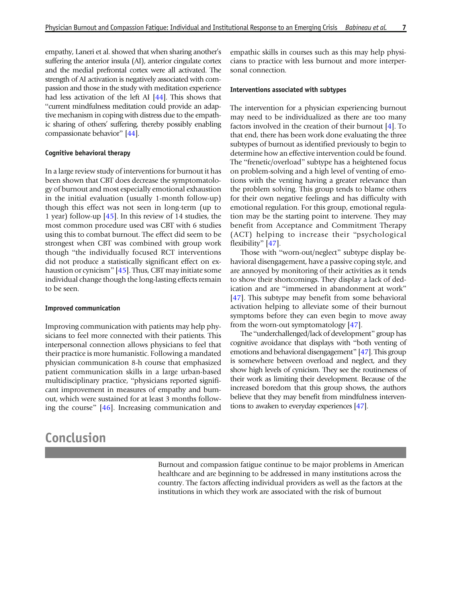empathy, Laneri et al. showed that when sharing another's suffering the anterior insula (AI), anterior cingulate cortex and the medial prefrontal cortex were all activated. The strength of AI activation is negatively associated with compassion and those in the study with meditation experience had less activation of the left AI [[44](#page-9-0)]. This shows that "current mindfulness meditation could provide an adaptive mechanism in coping with distress due to the empathic sharing of others' suffering, thereby possibly enabling compassionate behavior^ [[44](#page-9-0)].

#### Cognitive behavioral therapy

In a large review study of interventions for burnout it has been shown that CBT does decrease the symptomatology of burnout and most especially emotional exhaustion in the initial evaluation (usually 1-month follow-up) though this effect was not seen in long-term (up to 1 year) follow-up [\[45\]](#page-9-0). In this review of 14 studies, the most common procedure used was CBT with 6 studies using this to combat burnout. The effect did seem to be strongest when CBT was combined with group work though "the individually focused RCT interventions did not produce a statistically significant effect on ex-haustion or cynicism" [\[45](#page-9-0)]. Thus, CBT may initiate some individual change though the long-lasting effects remain to be seen.

#### Improved communication

Improving communication with patients may help physicians to feel more connected with their patients. This interpersonal connection allows physicians to feel that their practice is more humanistic. Following a mandated physician communication 8-h course that emphasized patient communication skills in a large urban-based multidisciplinary practice, "physicians reported significant improvement in measures of empathy and burnout, which were sustained for at least 3 months following the course"  $[46]$  $[46]$ . Increasing communication and

# Conclusion

empathic skills in courses such as this may help physicians to practice with less burnout and more interpersonal connection.

#### Interventions associated with subtypes

The intervention for a physician experiencing burnout may need to be individualized as there are too many factors involved in the creation of their burnout [\[4](#page-7-0)]. To that end, there has been work done evaluating the three subtypes of burnout as identified previously to begin to determine how an effective intervention could be found. The "frenetic/overload" subtype has a heightened focus on problem-solving and a high level of venting of emotions with the venting having a greater relevance than the problem solving. This group tends to blame others for their own negative feelings and has difficulty with emotional regulation. For this group, emotional regulation may be the starting point to intervene. They may benefit from Acceptance and Commitment Therapy (ACT) helping to increase their "psychological flexibility" [\[47](#page-9-0)].

Those with "worn-out/neglect" subtype display behavioral disengagement, have a passive coping style, and are annoyed by monitoring of their activities as it tends to show their shortcomings. They display a lack of dedication and are "immersed in abandonment at work" [\[47](#page-9-0)]. This subtype may benefit from some behavioral activation helping to alleviate some of their burnout symptoms before they can even begin to move away from the worn-out symptomatology [\[47](#page-9-0)].

The "underchallenged/lack of development" group has cognitive avoidance that displays with "both venting of emotions and behavioral disengagement^ [\[47\]](#page-9-0). This group is somewhere between overload and neglect, and they show high levels of cynicism. They see the routineness of their work as limiting their development. Because of the increased boredom that this group shows, the authors believe that they may benefit from mindfulness interventions to awaken to everyday experiences [[47](#page-9-0)].

Burnout and compassion fatigue continue to be major problems in American healthcare and are beginning to be addressed in many institutions across the country. The factors affecting individual providers as well as the factors at the institutions in which they work are associated with the risk of burnout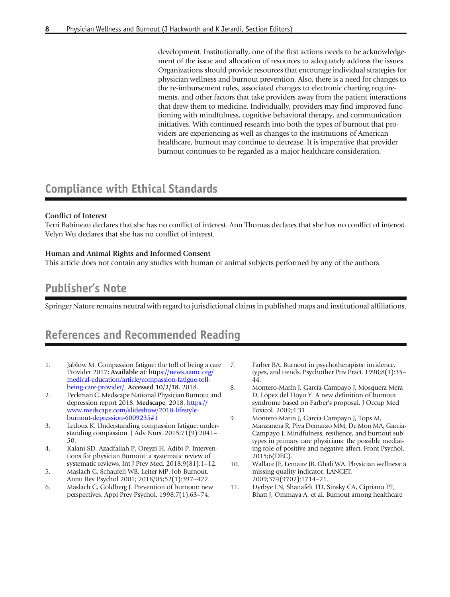<span id="page-7-0"></span>development. Institutionally, one of the first actions needs to be acknowledgement of the issue and allocation of resources to adequately address the issues. Organizations should provide resources that encourage individual strategies for physician wellness and burnout prevention. Also, there is a need for changes to the re-imbursement rules, associated changes to electronic charting requirements, and other factors that take providers away from the patient interactions that drew them to medicine. Individually, providers may find improved functioning with mindfulness, cognitive behavioral therapy, and communication initiatives. With continued research into both the types of burnout that providers are experiencing as well as changes to the institutions of American healthcare, burnout may continue to decrease. It is imperative that provider burnout continues to be regarded as a major healthcare consideration.

# Compliance with Ethical Standards

### Conflict of Interest

Terri Babineau declares that she has no conflict of interest. Ann Thomas declares that she has no conflict of interest. Velyn Wu declares that she has no conflict of interest.

### Human and Animal Rights and Informed Consent

This article does not contain any studies with human or animal subjects performed by any of the authors.

## Publisher's Note

Springer Nature remains neutral with regard to jurisdictional claims in published maps and institutional affiliations.

# References and Recommended Reading

- 1. Jablow M. Compassion fatigue: the toll of being a care Provider 2017; Available at: [https://news.aamc.org/](https://news.aamc.org/medical-education/article/compassion-fatigue-toll-being-care-provider/) [medical-education/article/compassion-fatigue-toll](https://news.aamc.org/medical-education/article/compassion-fatigue-toll-being-care-provider/)[being-care-provider/.](https://news.aamc.org/medical-education/article/compassion-fatigue-toll-being-care-provider/) Accessed 10/2/18, 2018.
- 2. Peckman C. Medscape National Physician Burnout and depression report 2018. Medscape, 2018. [https://](https://www.medscape.com/slideshow/2018-lifestyle-burnout-depression-6009235#1) [www.medscape.com/slideshow/2018-lifestyle](https://www.medscape.com/slideshow/2018-lifestyle-burnout-depression-6009235#1)[burnout-depression-6009235#1](https://www.medscape.com/slideshow/2018-lifestyle-burnout-depression-6009235#1)
- 3. Ledoux K. Understanding compassion fatigue: understanding compassion. J Adv Nurs. 2015;71(9):2041– 50.
- 4. Kalani SD, Azadfallah P, Oreyzi H, Adibi P. Interventions for physician Burnout: a systematic review of systematic reviews. Int J Prev Med. 2018;9(81):1–12.
- 5. Maslach C, Schaufeli WB, Leiter MP. Job Burnout. Annu Rev Psychol 2001; 2018/05;52(1):397–422.
- 6. Maslach C, Goldberg J. Prevention of burnout: new perspectives. Appl Prev Psychol. 1998;7(1):63–74.
- 7. Farber BA. Burnout in psychotherapists: incidence, types, and trends. Psychother Priv Pract. 1990;8(1):35– 44.
- 8. Montero-Marín J, García-Campayo J, Mosquera Mera D, López del Hoyo Y. A new definition of burnout syndrome based on Farber's proposal. J Occup Med Toxicol. 2009;4:31.
- 9. Montero-Marin J, Garcia-Campayo J, Tops M, Manzanera R, Piva Demarzo MM, De Mon MA, Garcia-Campayo J. Mindfulness, resilience, and burnout subtypes in primary care physicians: the possible mediating role of positive and negative affect. Front Psychol. 2015;6(DEC).
- 10. Wallace JE, Lemaire JB, Ghali WA. Physician wellness: a missing quality indicator. LANCET. 2009;374(9702):1714–21.
- 11. Dyrbye LN, Shanafelt TD, Sinsky CA, Cipriano PF, Bhatt J, Ommaya A, et al. Burnout among healthcare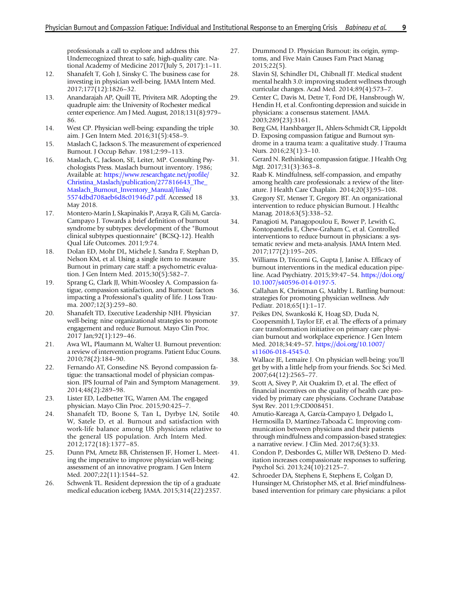<span id="page-8-0"></span>professionals a call to explore and address this Underrecognized threat to safe, high-quality care. National Academy of Medicine 2017(July 5, 2017):1–11.

- 12. Shanafelt T, Goh J, Sinsky C. The business case for investing in physician well-being. JAMA Intern Med. 2017;177(12):1826–32.
- 13. Anandarajah AP, Quill TE, Privitera MR. Adopting the quadruple aim: the University of Rochester medical center experience. Am J Med. August, 2018;131(8):979– 86.
- 14. West CP. Physician well-being: expanding the triple aim. J Gen Intern Med. 2016;31(5):458–9.
- 15. Maslach C, Jackson S. The measurement of experienced Burnout. J Occup Behav. 1981;2:99–113.
- 16. Maslach, C, Jackson, SE, Leiter, MP. Consulting Psychologists Press. Maslach burnout inventory. 1986; Available at: [https://www.researchgate.net/profile/](https://www.researchgate.net/profile/Christina_Maslach/publication/277816643_The_Maslach_Burnout_Inventory_Manual/links/5574dbd708aeb6d8c01946d7.pdf) [Christina\\_Maslach/publication/277816643\\_The\\_](https://www.researchgate.net/profile/Christina_Maslach/publication/277816643_The_Maslach_Burnout_Inventory_Manual/links/5574dbd708aeb6d8c01946d7.pdf) [Maslach\\_Burnout\\_Inventory\\_Manual/links/](https://www.researchgate.net/profile/Christina_Maslach/publication/277816643_The_Maslach_Burnout_Inventory_Manual/links/5574dbd708aeb6d8c01946d7.pdf) [5574dbd708aeb6d8c01946d7.pdf.](https://www.researchgate.net/profile/Christina_Maslach/publication/277816643_The_Maslach_Burnout_Inventory_Manual/links/5574dbd708aeb6d8c01946d7.pdf) Accessed 18 May 2018.
- 17. Montero-Marín J, Skapinakis P, Araya R, Gili M, García-Campayo J. Towards a brief definition of burnout syndrome by subtypes: development of the "Burnout clinical subtypes questionnaire" (BCSQ-12). Health Qual Life Outcomes. 2011;9:74.
- 18. Dolan ED, Mohr DL, Michele J, Sandra F, Stephan D, Nelson KM, et al. Using a single item to measure Burnout in primary care staff: a psychometric evaluation. J Gen Intern Med. 2015;30(5):582–7.
- 19. Sprang G, Clark JJ, Whitt-Woosley A. Compassion fatigue, compassion satisfaction, and Burnout: factors impacting a Professional's quality of life. J Loss Trauma. 2007;12(3):259–80.
- 20. Shanafelt TD, Executive Leadership NJH. Physician well-being: nine organizational strategies to promote engagement and reduce Burnout. Mayo Clin Proc. 2017 Jan;92(1):129–46.
- 21. Awa WL, Plaumann M, Walter U. Burnout prevention: a review of intervention programs. Patient Educ Couns. 2010;78(2):184–90.
- 22. Fernando AT, Consedine NS. Beyond compassion fatigue: the transactional model of physician compassion. JPS Journal of Pain and Symptom Management. 2014;48(2):289–98.
- 23. Lister ED, Ledbetter TG, Warren AM. The engaged physician. Mayo Clin Proc. 2015;90:425–7.
- 24. Shanafelt TD, Boone S, Tan L, Dyrbye LN, Sotile W, Satele D, et al. Burnout and satisfaction with work-life balance among US physicians relative to the general US population. Arch Intern Med. 2012;172(18):1377–85.
- 25. Dunn PM, Arnetz BB, Christensen JF, Homer L. Meeting the imperative to improve physician well-being: assessment of an innovative program. J Gen Intern Med. 2007;22(11):1544–52.
- 26. Schwenk TL. Resident depression the tip of a graduate medical education iceberg. JAMA. 2015;314(22):2357.
- 27. Drummond D. Physician Burnout: its origin, symptoms, and Five Main Causes Fam Pract Manag 2015;22(5).
- 28. Slavin SJ, Schindler DL, Chibnall JT. Medical student mental health 3.0: improving student wellness through curricular changes. Acad Med. 2014;89(4):573–7.
- 29. Center C, Davis M, Detre T, Ford DE, Hansbrough W, Hendin H, et al. Confronting depression and suicide in physicians: a consensus statement. JAMA. 2003;289(23):3161.
- 30. Berg GM, Harshbarger JL, Ahlers-Schmidt CR, Lippoldt D. Exposing compassion fatigue and Burnout syndrome in a trauma team: a qualitative study. J Trauma Nurs. 2016;23(1):3–10.
- 31. Gerard N. Rethinking compassion fatigue. J Health Org Mgt. 2017;31(3):363–8.
- 32. Raab K. Mindfulness, self-compassion, and empathy among health care professionals: a review of the literature. J Health Care Chaplain. 2014;20(3):95–108.
- 33. Gregory ST, Menser T, Gregory BT. An organizational intervention to reduce physician Burnout. J Healthc Manag. 2018;63(5):338-52.
- 34. Panagioti M, Panagopoulou E, Bower P, Lewith G, Kontopantelis E, Chew-Graham C, et al. Controlled interventions to reduce burnout in physicians: a systematic review and meta-analysis. JAMA Intern Med. 2017;177(2):195–205.
- 35. Williams D, Tricomi G, Gupta J, Janise A. Efficacy of burnout interventions in the medical education pipeline. Acad Psychiatry. 2015;39:47–54. [https://doi.org/](http://dx.doi.org/10.1007/s40596-014-0197-5) [10.1007/s40596-014-0197-5.](http://dx.doi.org/10.1007/s40596-014-0197-5)
- 36. Callahan K, Christman G, Maltby L. Battling burnout: strategies for promoting physician wellness. Adv Pediatr. 2018;65(1):1–17.
- 37. Peikes DN, Swankoski K, Hoag SD, Duda N, Coopersmith J, Taylor EF, et al. The effects of a primary care transformation initiative on primary care physician burnout and workplace experience. J Gen Intern Med. 2018;34:49–57. [https://doi.org/10.1007/](http://dx.doi.org/10.1007/s11606-018-4545-0) [s11606-018-4545-0](http://dx.doi.org/10.1007/s11606-018-4545-0).
- 38. Wallace JE, Lemaire J. On physician well-being: you'll get by with a little help from your friends. Soc Sci Med. 2007;64(12):2565–77.
- 39. Scott A, Sivey P, Ait Ouakrim D, et al. The effect of financial incentives on the quality of health care provided by primary care physicians. Cochrane Database Syst Rev. 2011;9:CD008451.
- 40. Amutio-Kareaga A, García-Campayo J, Delgado L, Hermosilla D, Martínez-Taboada C. Improving communication between physicians and their patients through mindfulness and compassion-based strategies: a narrative review. J Clin Med. 2017;6(3):33.
- 41. Condon P, Desbordes G, Miller WB, DeSteno D. Meditation increases compassionate responses to suffering. Psychol Sci. 2013;24(10):2125–7.
- 42. Schroeder DA, Stephens E, Stephens E, Colgan D, Hunsinger M, Christopher MS, et al. Brief mindfulnessbased intervention for primary care physicians: a pilot